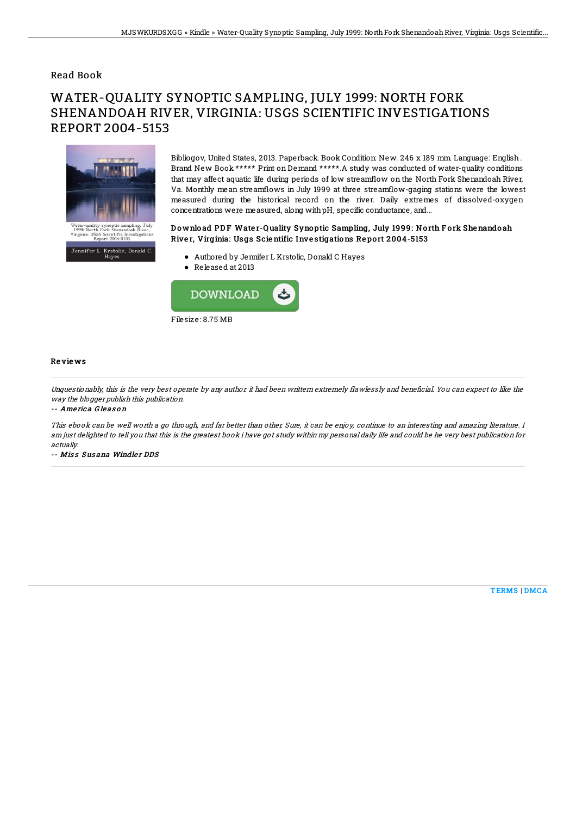### Read Book

# WATER-QUALITY SYNOPTIC SAMPLING, JULY 1999: NORTH FORK SHENANDOAH RIVER, VIRGINIA: USGS SCIENTIFIC INVESTIGATIONS REPORT 2004-5153



Bibliogov, United States, 2013. Paperback. Book Condition: New. 246 x 189 mm. Language: English . Brand New Book \*\*\*\*\* Print on Demand \*\*\*\*\*.A study was conducted of water-quality conditions that may affect aquatic life during periods of low streamflow on the North Fork Shenandoah River, Va. Monthly mean streamflows in July 1999 at three streamflow-gaging stations were the lowest measured during the historical record on the river. Daily extremes of dissolved-oxygen concentrations were measured, along withpH, specific conductance, and...

#### Download PDF Water-Quality Synoptic Sampling, July 1999: North Fork Shenandoah River, Virginia: Usgs Scientific Investigations Report 2004-5153

- Authored by Jennifer L Krstolic, Donald C Hayes
- Released at 2013



#### Re vie ws

Unquestionably, this is the very best operate by any author it had been writtern extremely flawlessly and beneficial. You can expect to like the way the blogger publish this publication.

-- Ame ric a G le as o <sup>n</sup>

This ebook can be well worth <sup>a</sup> go through, and far better than other. Sure, it can be enjoy, continue to an interesting and amazing literature. I am just delighted to tell you that this is the greatest book i have got study within my personal daily life and could be he very best publication for actually.

-- Miss Susana Windler DDS